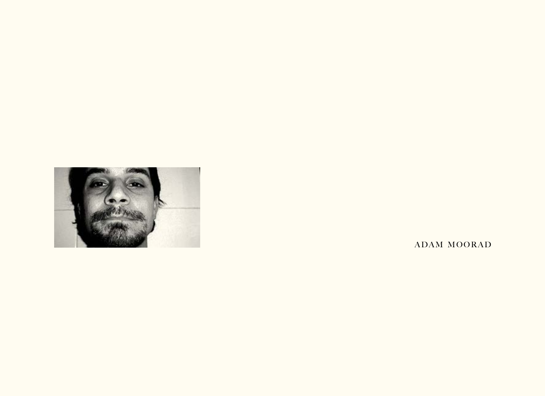

ADAM MOORAD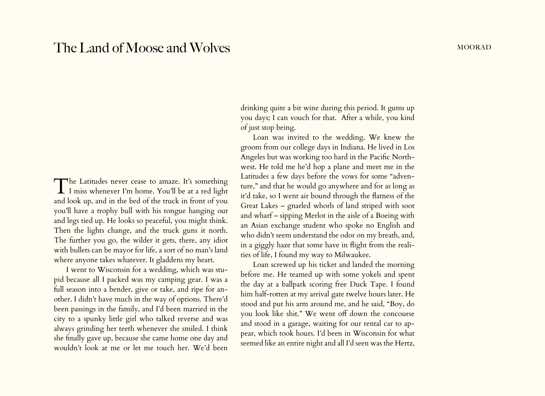## The Land of Moose and Wolves mooral mooral mooral mooral mooral mooral mooral mooral mooral mooral mooral moor

The Latitudes never cease to amaze. It's something I miss whenever I'm home. You'll be at a red light and look up, and in the bed of the truck in front of you you'll have a trophy bull with his tongue hanging out and legs tied up. He looks so peaceful, you might think. Then the lights change, and the truck guns it north. The further you go, the wilder it gets, there, any idiot with bullets can be mayor for life, a sort of no man's land where anyone takes whatever. It gladdens my heart.

I went to Wisconsin for a wedding, which was stupid because all I packed was my camping gear. I was a full season into a bender, give or take, and ripe for another. I didn't have much in the way of options. There'd been passings in the family, and I'd been married in the city to a spunky little girl who talked reverse and was always grinding her teeth whenever she smiled. I think she finally gave up, because she came home one day and wouldn't look at me or let me touch her. We'd been

drinking quite a bit wine during this period. It gums up you days; I can vouch for that. After a while, you kind of just stop being.

Loan was invited to the wedding. We knew the groom from our college days in Indiana. He lived in Los Angeles but was working too hard in the Pacific Northwest. He told me he'd hop a plane and meet me in the Latitudes a few days before the vows for some "adventure," and that he would go anywhere and for as long as it'd take, so I went air bound through the flatness of the Great Lakes – gnarled whorls of land striped with soot and wharf – sipping Merlot in the aisle of a Boeing with an Asian exchange student who spoke no English and who didn't seem understand the odor on my breath, and, in a giggly haze that some have in flight from the realities of life, I found my way to Milwaukee.

Loan screwed up his ticket and landed the morning before me. He teamed up with some yokels and spent the day at a ballpark scoring free Duck Tape. I found him half-rotten at my arrival gate twelve hours later. He stood and put his arm around me, and he said, "Boy, do you look like shit." We went off down the concourse and stood in a garage, waiting for our rental car to appear, which took hours. I'd been in Wisconsin for what seemed like an entire night and all I'd seen was the Hertz,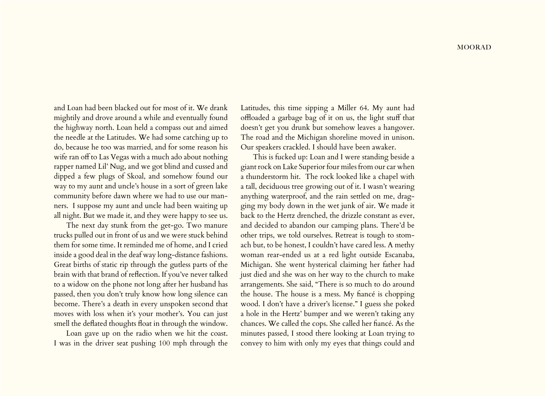and Loan had been blacked out for most of it. We drank mightily and drove around a while and eventually found the highway north. Loan held a compass out and aimed the needle at the Latitudes. We had some catching up to do, because he too was married, and for some reason his wife ran off to Las Vegas with a much ado about nothing rapper named Lil' Nug, and we got blind and cussed and dipped a few plugs of Skoal, and somehow found our way to my aunt and uncle's house in a sort of green lake community before dawn where we had to use our manners. I suppose my aunt and uncle had been waiting up all night. But we made it, and they were happy to see us.

The next day stunk from the get-go. Two manure trucks pulled out in front of us and we were stuck behind them for some time. It reminded me of home, and I cried inside a good deal in the deaf way long-distance fashions. Great births of static rip through the gutless parts of the brain with that brand of reflection. If you've never talked to a widow on the phone not long after her husband has passed, then you don't truly know how long silence can become. There's a death in every unspoken second that moves with loss when it's your mother's. You can just smell the deflated thoughts float in through the window.

Loan gave up on the radio when we hit the coast. I was in the driver seat pushing 100 mph through the Latitudes, this time sipping a Miller 64. My aunt had offloaded a garbage bag of it on us, the light stuff that doesn't get you drunk but somehow leaves a hangover. The road and the Michigan shoreline moved in unison. Our speakers crackled. I should have been awaker.

This is fucked up: Loan and I were standing beside a giant rock on Lake Superior four miles from our car when a thunderstorm hit. The rock looked like a chapel with a tall, deciduous tree growing out of it. I wasn't wearing anything waterproof, and the rain settled on me, dragging my body down in the wet junk of air. We made it back to the Hertz drenched, the drizzle constant as ever, and decided to abandon our camping plans. There'd be other trips, we told ourselves. Retreat is tough to stomach but, to be honest, I couldn't have cared less. A methy woman rear-ended us at a red light outside Escanaba, Michigan. She went hysterical claiming her father had just died and she was on her way to the church to make arrangements. She said, "There is so much to do around the house. The house is a mess. My fiancé is chopping wood. I don't have a driver's license." I guess she poked a hole in the Hertz' bumper and we weren't taking any chances. We called the cops. She called her fiancé. As the minutes passed, I stood there looking at Loan trying to convey to him with only my eyes that things could and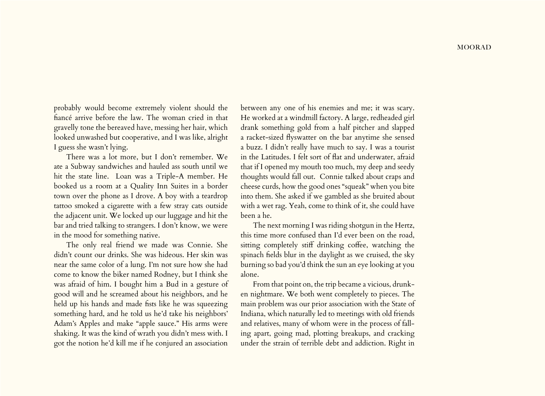probably would become extremely violent should the fiancé arrive before the law. The woman cried in that gravelly tone the bereaved have, messing her hair, which looked unwashed but cooperative, and I was like, alright I guess she wasn't lying.

There was a lot more, but I don't remember. We ate a Subway sandwiches and hauled ass south until we hit the state line. Loan was a Triple-A member. He booked us a room at a Quality Inn Suites in a border town over the phone as I drove. A boy with a teardrop tattoo smoked a cigarette with a few stray cats outside the adjacent unit. We locked up our luggage and hit the bar and tried talking to strangers. I don't know, we were in the mood for something native.

The only real friend we made was Connie. She didn't count our drinks. She was hideous. Her skin was near the same color of a lung. I'm not sure how she had come to know the biker named Rodney, but I think she was afraid of him. I bought him a Bud in a gesture of good will and he screamed about his neighbors, and he held up his hands and made fists like he was squeezing something hard, and he told us he'd take his neighbors' Adam's Apples and make "apple sauce." His arms were shaking. It was the kind of wrath you didn't mess with. I got the notion he'd kill me if he conjured an association

between any one of his enemies and me; it was scary. He worked at a windmill factory. A large, redheaded girl drank something gold from a half pitcher and slapped a racket-sized flyswatter on the bar anytime she sensed a buzz. I didn't really have much to say. I was a tourist in the Latitudes. I felt sort of flat and underwater, afraid that if I opened my mouth too much, my deep and seedy thoughts would fall out. Connie talked about craps and cheese curds, how the good ones "squeak" when you bite into them. She asked if we gambled as she bruited about with a wet rag. Yeah, come to think of it, she could have been a he.

The next morning I was riding shotgun in the Hertz, this time more confused than I'd ever been on the road, sitting completely stiff drinking coffee, watching the spinach fields blur in the daylight as we cruised, the sky burning so bad you'd think the sun an eye looking at you alone.

From that point on, the trip became a vicious, drunken nightmare. We both went completely to pieces. The main problem was our prior association with the State of Indiana, which naturally led to meetings with old friends and relatives, many of whom were in the process of falling apart, going mad, plotting breakups, and cracking under the strain of terrible debt and addiction. Right in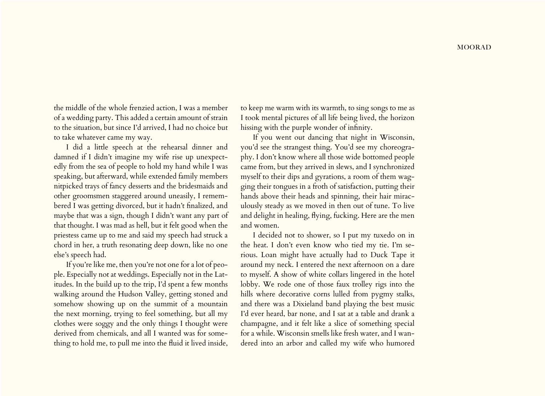the middle of the whole frenzied action, I was a member of a wedding party. This added a certain amount of strain to the situation, but since I'd arrived, I had no choice but to take whatever came my way.

I did a little speech at the rehearsal dinner and damned if I didn't imagine my wife rise up unexpectedly from the sea of people to hold my hand while I was speaking, but afterward, while extended family members nitpicked trays of fancy desserts and the bridesmaids and other groomsmen staggered around uneasily, I remembered I was getting divorced, but it hadn't finalized, and maybe that was a sign, though I didn't want any part of that thought. I was mad as hell, but it felt good when the priestess came up to me and said my speech had struck a chord in her, a truth resonating deep down, like no one else's speech had.

If you're like me, then you're not one for a lot of people. Especially not at weddings. Especially not in the Latitudes. In the build up to the trip, I'd spent a few months walking around the Hudson Valley, getting stoned and somehow showing up on the summit of a mountain the next morning, trying to feel something, but all my clothes were soggy and the only things I thought were derived from chemicals, and all I wanted was for something to hold me, to pull me into the fluid it lived inside,

to keep me warm with its warmth, to sing songs to me as I took mental pictures of all life being lived, the horizon hissing with the purple wonder of infinity.

If you went out dancing that night in Wisconsin, you'd see the strangest thing. You'd see my choreography. I don't know where all those wide bottomed people came from, but they arrived in slews, and I synchronized myself to their dips and gyrations, a room of them wagging their tongues in a froth of satisfaction, putting their hands above their heads and spinning, their hair miraculously steady as we moved in then out of tune. To live and delight in healing, flying, fucking. Here are the men and women.

I decided not to shower, so I put my tuxedo on in the heat. I don't even know who tied my tie. I'm serious. Loan might have actually had to Duck Tape it around my neck. I entered the next afternoon on a dare to myself. A show of white collars lingered in the hotel lobby. We rode one of those faux trolley rigs into the hills where decorative corns lulled from pygmy stalks, and there was a Dixieland band playing the best music I'd ever heard, bar none, and I sat at a table and drank a champagne, and it felt like a slice of something special for a while. Wisconsin smells like fresh water, and I wandered into an arbor and called my wife who humored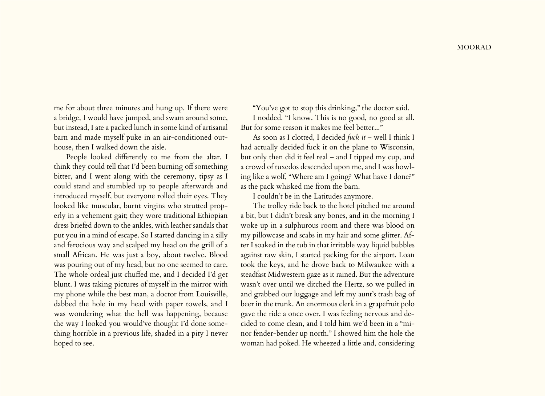me for about three minutes and hung up. If there were a bridge, I would have jumped, and swam around some, but instead, I ate a packed lunch in some kind of artisanal barn and made myself puke in an air-conditioned outhouse, then I walked down the aisle.

People looked differently to me from the altar. I think they could tell that I'd been burning off something bitter, and I went along with the ceremony, tipsy as I could stand and stumbled up to people afterwards and introduced myself, but everyone rolled their eyes. They looked like muscular, burnt virgins who strutted properly in a vehement gait; they wore traditional Ethiopian dress briefed down to the ankles, with leather sandals that put you in a mind of escape. So I started dancing in a silly and ferocious way and scalped my head on the grill of a small African. He was just a boy, about twelve. Blood was pouring out of my head, but no one seemed to care. The whole ordeal just chuffed me, and I decided I'd get blunt. I was taking pictures of myself in the mirror with my phone while the best man, a doctor from Louisville, dabbed the hole in my head with paper towels, and I was wondering what the hell was happening, because the way I looked you would've thought I'd done something horrible in a previous life, shaded in a pity I never hoped to see.

"You've got to stop this drinking," the doctor said.

I nodded. "I know. This is no good, no good at all. But for some reason it makes me feel better..."

As soon as I clotted, I decided *fuck it* – well I think I had actually decided fuck it on the plane to Wisconsin, but only then did it feel real – and I tipped my cup, and a crowd of tuxedos descended upon me, and I was howling like a wolf, "Where am I going? What have I done?" as the pack whisked me from the barn.

I couldn't be in the Latitudes anymore.

The trolley ride back to the hotel pitched me around a bit, but I didn't break any bones, and in the morning I woke up in a sulphurous room and there was blood on my pillowcase and scabs in my hair and some glitter. After I soaked in the tub in that irritable way liquid bubbles against raw skin, I started packing for the airport. Loan took the keys, and he drove back to Milwaukee with a steadfast Midwestern gaze as it rained. But the adventure wasn't over until we ditched the Hertz, so we pulled in and grabbed our luggage and left my aunt's trash bag of beer in the trunk. An enormous clerk in a grapefruit polo gave the ride a once over. I was feeling nervous and decided to come clean, and I told him we'd been in a "minor fender-bender up north." I showed him the hole the woman had poked. He wheezed a little and, considering